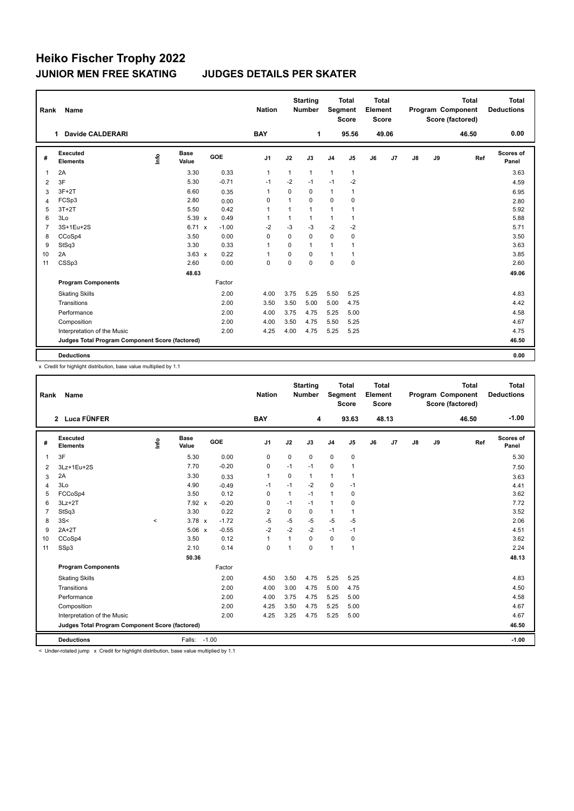## **Heiko Fischer Trophy 2022 JUNIOR MEN FREE SKATING JUDGES DETAILS PER SKATER**

| Rank           | Name                                            |      |               |         | <b>Nation</b>  |              | <b>Starting</b><br><b>Number</b> |                | <b>Total</b><br>Segment<br><b>Score</b> | <b>Total</b><br>Element<br><b>Score</b> |       |               |    | <b>Total</b><br>Program Component<br>Score (factored) | <b>Total</b><br><b>Deductions</b> |
|----------------|-------------------------------------------------|------|---------------|---------|----------------|--------------|----------------------------------|----------------|-----------------------------------------|-----------------------------------------|-------|---------------|----|-------------------------------------------------------|-----------------------------------|
|                | Davide CALDERARI<br>1.                          |      |               |         | <b>BAY</b>     |              | 1                                |                | 95.56                                   |                                         | 49.06 |               |    | 46.50                                                 | 0.00                              |
| #              | Executed<br><b>Elements</b>                     | ١nfo | Base<br>Value | GOE     | J1             | J2           | J3                               | J <sub>4</sub> | J <sub>5</sub>                          | J6                                      | J7    | $\mathsf{J}8$ | J9 | Ref                                                   | Scores of<br>Panel                |
| 1              | 2A                                              |      | 3.30          | 0.33    | $\mathbf{1}$   | $\mathbf{1}$ | $\mathbf{1}$                     | $\mathbf{1}$   | $\mathbf{1}$                            |                                         |       |               |    |                                                       | 3.63                              |
| 2              | 3F                                              |      | 5.30          | $-0.71$ | $-1$           | $-2$         | $-1$                             | $-1$           | -2                                      |                                         |       |               |    |                                                       | 4.59                              |
| 3              | $3F+2T$                                         |      | 6.60          | 0.35    | $\overline{1}$ | $\Omega$     | 0                                | $\overline{1}$ | 1                                       |                                         |       |               |    |                                                       | 6.95                              |
| 4              | FCSp3                                           |      | 2.80          | 0.00    | $\Omega$       | $\mathbf{1}$ | $\Omega$                         | $\Omega$       | 0                                       |                                         |       |               |    |                                                       | 2.80                              |
| 5              | $3T+2T$                                         |      | 5.50          | 0.42    | $\overline{1}$ | 1            | 1                                | $\overline{1}$ | 1                                       |                                         |       |               |    |                                                       | 5.92                              |
| 6              | 3Lo                                             |      | $5.39 \times$ | 0.49    | -1             | $\mathbf{1}$ | $\mathbf{1}$                     | $\mathbf{1}$   | 1                                       |                                         |       |               |    |                                                       | 5.88                              |
| $\overline{7}$ | 3S+1Eu+2S                                       |      | 6.71 x        | $-1.00$ | $-2$           | $-3$         | $-3$                             | $-2$           | $-2$                                    |                                         |       |               |    |                                                       | 5.71                              |
| 8              | CCoSp4                                          |      | 3.50          | 0.00    | $\Omega$       | $\Omega$     | 0                                | $\mathbf 0$    | 0                                       |                                         |       |               |    |                                                       | 3.50                              |
| 9              | StSq3                                           |      | 3.30          | 0.33    | $\overline{1}$ | $\Omega$     | 1                                | $\overline{1}$ | 1                                       |                                         |       |               |    |                                                       | 3.63                              |
| 10             | 2A                                              |      | $3.63 \times$ | 0.22    | -1             | $\Omega$     | $\Omega$                         | $\mathbf{1}$   | 1                                       |                                         |       |               |    |                                                       | 3.85                              |
| 11             | CSSp3                                           |      | 2.60          | 0.00    | 0              | $\Omega$     | $\Omega$                         | 0              | 0                                       |                                         |       |               |    |                                                       | 2.60                              |
|                |                                                 |      | 48.63         |         |                |              |                                  |                |                                         |                                         |       |               |    |                                                       | 49.06                             |
|                | <b>Program Components</b>                       |      |               | Factor  |                |              |                                  |                |                                         |                                         |       |               |    |                                                       |                                   |
|                | <b>Skating Skills</b>                           |      |               | 2.00    | 4.00           | 3.75         | 5.25                             | 5.50           | 5.25                                    |                                         |       |               |    |                                                       | 4.83                              |
|                | Transitions                                     |      |               | 2.00    | 3.50           | 3.50         | 5.00                             | 5.00           | 4.75                                    |                                         |       |               |    |                                                       | 4.42                              |
|                | Performance                                     |      |               | 2.00    | 4.00           | 3.75         | 4.75                             | 5.25           | 5.00                                    |                                         |       |               |    |                                                       | 4.58                              |
|                | Composition                                     |      |               | 2.00    | 4.00           | 3.50         | 4.75                             | 5.50           | 5.25                                    |                                         |       |               |    |                                                       | 4.67                              |
|                | Interpretation of the Music                     |      |               | 2.00    | 4.25           | 4.00         | 4.75                             | 5.25           | 5.25                                    |                                         |       |               |    |                                                       | 4.75                              |
|                | Judges Total Program Component Score (factored) |      |               |         |                |              |                                  |                |                                         |                                         |       |               |    |                                                       | 46.50                             |
|                | <b>Deductions</b>                               |      |               |         |                |              |                                  |                |                                         |                                         |       |               |    |                                                       | 0.00                              |

x Credit for highlight distribution, base value multiplied by 1.1

| Rank                                            | <b>Name</b>                 |       |                      |         | <b>Nation</b>  |                | <b>Starting</b><br><b>Number</b> | Segment        | <b>Total</b><br><b>Score</b> | Total<br>Element<br><b>Score</b> |       |               |       | <b>Total</b><br>Program Component<br>Score (factored) | Total<br><b>Deductions</b> |
|-------------------------------------------------|-----------------------------|-------|----------------------|---------|----------------|----------------|----------------------------------|----------------|------------------------------|----------------------------------|-------|---------------|-------|-------------------------------------------------------|----------------------------|
|                                                 | 2 Luca FÜNFER               |       |                      |         | <b>BAY</b>     |                | 4                                |                | 93.63                        |                                  | 48.13 |               |       | 46.50                                                 | $-1.00$                    |
| #                                               | Executed<br><b>Elements</b> | Info  | <b>Base</b><br>Value | GOE     | J <sub>1</sub> | J2             | J3                               | J <sub>4</sub> | J5                           | J6                               | J7    | $\mathsf{J}8$ | J9    | Ref                                                   | <b>Scores of</b><br>Panel  |
| 1                                               | 3F                          |       | 5.30                 | 0.00    | 0              | $\mathbf 0$    | 0                                | $\pmb{0}$      | $\mathbf 0$                  |                                  |       |               |       |                                                       | 5.30                       |
| 2                                               | 3Lz+1Eu+2S                  |       | 7.70                 | $-0.20$ | 0              | $-1$           | $-1$                             | $\mathbf 0$    | 1                            |                                  |       |               |       |                                                       | 7.50                       |
| 3                                               | 2A                          |       | 3.30                 | 0.33    | $\mathbf{1}$   | $\mathbf 0$    | 1                                | $\mathbf{1}$   | 1                            |                                  |       |               |       |                                                       | 3.63                       |
| $\overline{4}$                                  | 3Lo                         |       | 4.90                 | $-0.49$ | $-1$           | $-1$           | $-2$                             | $\mathbf 0$    | $-1$                         |                                  |       |               |       |                                                       | 4.41                       |
| 5                                               | FCCoSp4                     |       | 3.50                 | 0.12    | $\mathbf 0$    | $\mathbf{1}$   | $-1$                             | $\mathbf{1}$   | $\mathbf 0$                  |                                  |       |               |       |                                                       | 3.62                       |
| 6                                               | $3Lz + 2T$                  |       | $7.92 \times$        | $-0.20$ | $\Omega$       | $-1$           | $-1$                             | $\mathbf{1}$   | $\Omega$                     |                                  |       |               |       |                                                       | 7.72                       |
| $\overline{7}$                                  | StSq3                       |       | 3.30                 | 0.22    | $\overline{2}$ | $\mathbf 0$    | 0                                | $\mathbf{1}$   | 1                            |                                  |       |               |       |                                                       | 3.52                       |
| 8                                               | 3S<                         | $\,<$ | $3.78 \times$        | $-1.72$ | $-5$           | $-5$           | $-5$                             | $-5$           | $-5$                         |                                  |       |               |       |                                                       | 2.06                       |
| 9                                               | $2A+2T$                     |       | $5.06 \times$        | $-0.55$ | $-2$           | $-2$           | $-2$                             | $-1$           | $-1$                         |                                  |       |               |       |                                                       | 4.51                       |
| 10                                              | CCoSp4                      |       | 3.50                 | 0.12    | $\mathbf{1}$   | 1              | $\Omega$                         | $\Omega$       | $\mathbf 0$                  |                                  |       |               |       |                                                       | 3.62                       |
| 11                                              | SSp3                        |       | 2.10                 | 0.14    | 0              | $\overline{1}$ | 0                                | $\mathbf{1}$   | 1                            |                                  |       |               |       |                                                       | 2.24                       |
|                                                 |                             |       | 50.36                |         |                |                |                                  |                |                              |                                  |       |               |       |                                                       | 48.13                      |
|                                                 | <b>Program Components</b>   |       |                      | Factor  |                |                |                                  |                |                              |                                  |       |               |       |                                                       |                            |
|                                                 | <b>Skating Skills</b>       |       |                      | 2.00    | 4.50           | 3.50           | 4.75                             | 5.25           | 5.25                         |                                  |       |               |       |                                                       | 4.83                       |
|                                                 | Transitions                 |       |                      | 2.00    | 4.00           | 3.00           | 4.75                             | 5.00           | 4.75                         |                                  |       |               |       |                                                       | 4.50                       |
|                                                 | Performance                 |       |                      | 2.00    | 4.00           | 3.75           | 4.75                             | 5.25           | 5.00                         |                                  |       |               |       |                                                       | 4.58                       |
|                                                 | Composition                 |       |                      | 2.00    | 4.25           | 3.50           | 4.75                             | 5.25           | 5.00                         |                                  |       |               |       |                                                       | 4.67                       |
|                                                 | Interpretation of the Music |       |                      | 2.00    | 4.25           | 3.25           | 4.75                             | 5.25           | 5.00                         |                                  |       |               |       |                                                       | 4.67                       |
| Judges Total Program Component Score (factored) |                             |       |                      |         |                |                |                                  |                |                              |                                  |       |               | 46.50 |                                                       |                            |
|                                                 | <b>Deductions</b>           |       | Falls: -1.00         |         |                |                |                                  |                |                              |                                  |       |               |       |                                                       | $-1.00$                    |

< Under-rotated jump x Credit for highlight distribution, base value multiplied by 1.1